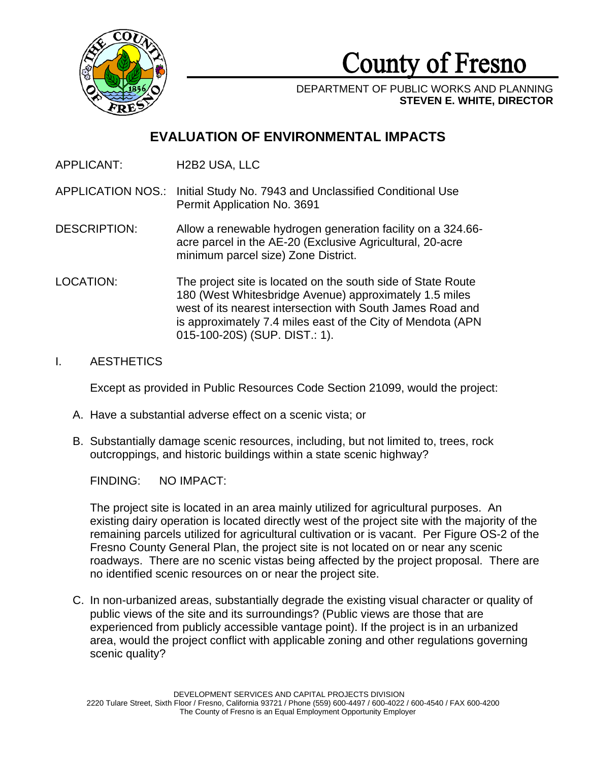

County of Fresno

DEPARTMENT OF PUBLIC WORKS AND PLANNING **STEVEN E. WHITE, DIRECTOR**

# **EVALUATION OF ENVIRONMENTAL IMPACTS**

APPLICANT: H2B2 USA, LLC

APPLICATION NOS.: Initial Study No. 7943 and Unclassified Conditional Use Permit Application No. 3691

DESCRIPTION: Allow a renewable hydrogen generation facility on a 324.66 acre parcel in the AE-20 (Exclusive Agricultural, 20-acre minimum parcel size) Zone District.

LOCATION: The project site is located on the south side of State Route 180 (West Whitesbridge Avenue) approximately 1.5 miles west of its nearest intersection with South James Road and is approximately 7.4 miles east of the City of Mendota (APN 015-100-20S) (SUP. DIST.: 1).

### I. AESTHETICS

Except as provided in Public Resources Code Section 21099, would the project:

- A. Have a substantial adverse effect on a scenic vista; or
- B. Substantially damage scenic resources, including, but not limited to, trees, rock outcroppings, and historic buildings within a state scenic highway?

FINDING: NO IMPACT:

The project site is located in an area mainly utilized for agricultural purposes. An existing dairy operation is located directly west of the project site with the majority of the remaining parcels utilized for agricultural cultivation or is vacant. Per Figure OS-2 of the Fresno County General Plan, the project site is not located on or near any scenic roadways. There are no scenic vistas being affected by the project proposal. There are no identified scenic resources on or near the project site.

C. In non-urbanized areas, substantially degrade the existing visual character or quality of public views of the site and its surroundings? (Public views are those that are experienced from publicly accessible vantage point). If the project is in an urbanized area, would the project conflict with applicable zoning and other regulations governing scenic quality?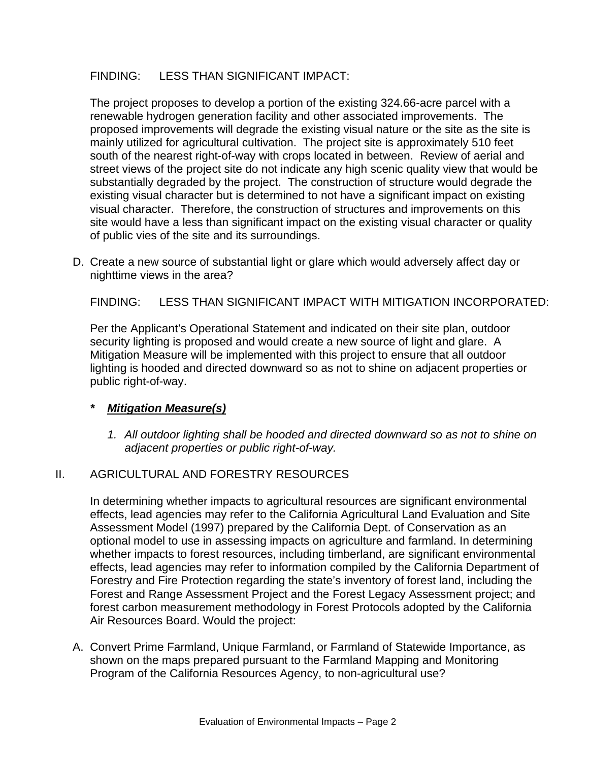## FINDING: LESS THAN SIGNIFICANT IMPACT:

The project proposes to develop a portion of the existing 324.66-acre parcel with a renewable hydrogen generation facility and other associated improvements. The proposed improvements will degrade the existing visual nature or the site as the site is mainly utilized for agricultural cultivation. The project site is approximately 510 feet south of the nearest right-of-way with crops located in between. Review of aerial and street views of the project site do not indicate any high scenic quality view that would be substantially degraded by the project. The construction of structure would degrade the existing visual character but is determined to not have a significant impact on existing visual character. Therefore, the construction of structures and improvements on this site would have a less than significant impact on the existing visual character or quality of public vies of the site and its surroundings.

D. Create a new source of substantial light or glare which would adversely affect day or nighttime views in the area?

FINDING: LESS THAN SIGNIFICANT IMPACT WITH MITIGATION INCORPORATED:

Per the Applicant's Operational Statement and indicated on their site plan, outdoor security lighting is proposed and would create a new source of light and glare. A Mitigation Measure will be implemented with this project to ensure that all outdoor lighting is hooded and directed downward so as not to shine on adjacent properties or public right-of-way.

## *\* Mitigation Measure(s)*

1. All outdoor lighting shall be hooded and directed downward so as not to shine on *adjacent properties or public right-of-way.* 

### II. AGRICULTURAL AND FORESTRY RESOURCES

In determining whether impacts to agricultural resources are significant environmental effects, lead agencies may refer to the California Agricultural Land Evaluation and Site Assessment Model (1997) prepared by the California Dept. of Conservation as an optional model to use in assessing impacts on agriculture and farmland. In determining whether impacts to forest resources, including timberland, are significant environmental effects, lead agencies may refer to information compiled by the California Department of Forestry and Fire Protection regarding the state's inventory of forest land, including the Forest and Range Assessment Project and the Forest Legacy Assessment project; and forest carbon measurement methodology in Forest Protocols adopted by the California Air Resources Board. Would the project:

A. Convert Prime Farmland, Unique Farmland, or Farmland of Statewide Importance, as shown on the maps prepared pursuant to the Farmland Mapping and Monitoring Program of the California Resources Agency, to non-agricultural use?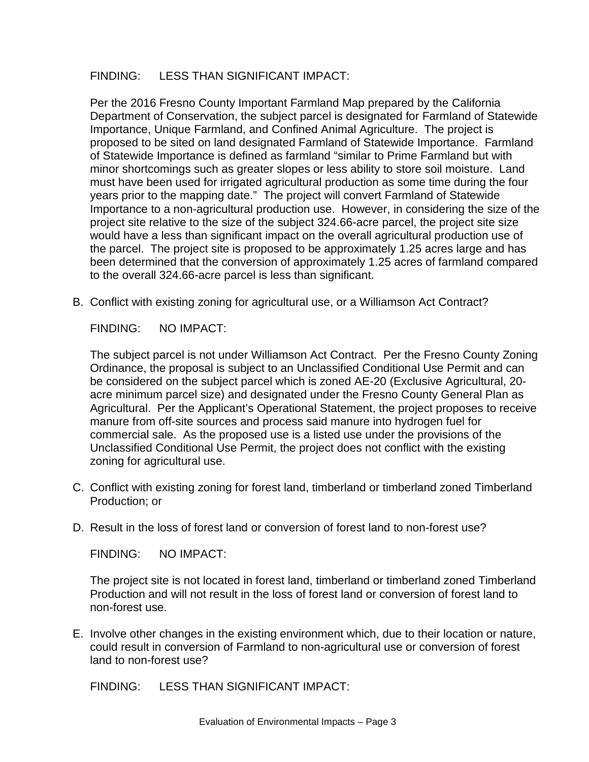## FINDING: LESS THAN SIGNIFICANT IMPACT:

Per the 2016 Fresno County Important Farmland Map prepared by the California Department of Conservation, the subject parcel is designated for Farmland of Statewide Importance, Unique Farmland, and Confined Animal Agriculture. The project is proposed to be sited on land designated Farmland of Statewide Importance. Farmland of Statewide Importance is defined as farmland "similar to Prime Farmland but with minor shortcomings such as greater slopes or less ability to store soil moisture. Land must have been used for irrigated agricultural production as some time during the four years prior to the mapping date." The project will convert Farmland of Statewide Importance to a non-agricultural production use. However, in considering the size of the project site relative to the size of the subject 324.66-acre parcel, the project site size would have a less than significant impact on the overall agricultural production use of the parcel. The project site is proposed to be approximately 1.25 acres large and has been determined that the conversion of approximately 1.25 acres of farmland compared to the overall 324.66-acre parcel is less than significant.

B. Conflict with existing zoning for agricultural use, or a Williamson Act Contract?

FINDING: NO IMPACT:

The subject parcel is not under Williamson Act Contract. Per the Fresno County Zoning Ordinance, the proposal is subject to an Unclassified Conditional Use Permit and can be considered on the subject parcel which is zoned AE-20 (Exclusive Agricultural, 20 acre minimum parcel size) and designated under the Fresno County General Plan as Agricultural. Per the Applicant's Operational Statement, the project proposes to receive manure from off-site sources and process said manure into hydrogen fuel for commercial sale. As the proposed use is a listed use under the provisions of the Unclassified Conditional Use Permit, the project does not conflict with the existing zoning for agricultural use.

- C. Conflict with existing zoning for forest land, timberland or timberland zoned Timberland Production; or
- D. Result in the loss of forest land or conversion of forest land to non-forest use?

FINDING: NO IMPACT:

The project site is not located in forest land, timberland or timberland zoned Timberland Production and will not result in the loss of forest land or conversion of forest land to non-forest use.

E. Involve other changes in the existing environment which, due to their location or nature, could result in conversion of Farmland to non-agricultural use or conversion of forest land to non-forest use?

FINDING: LESS THAN SIGNIFICANT IMPACT: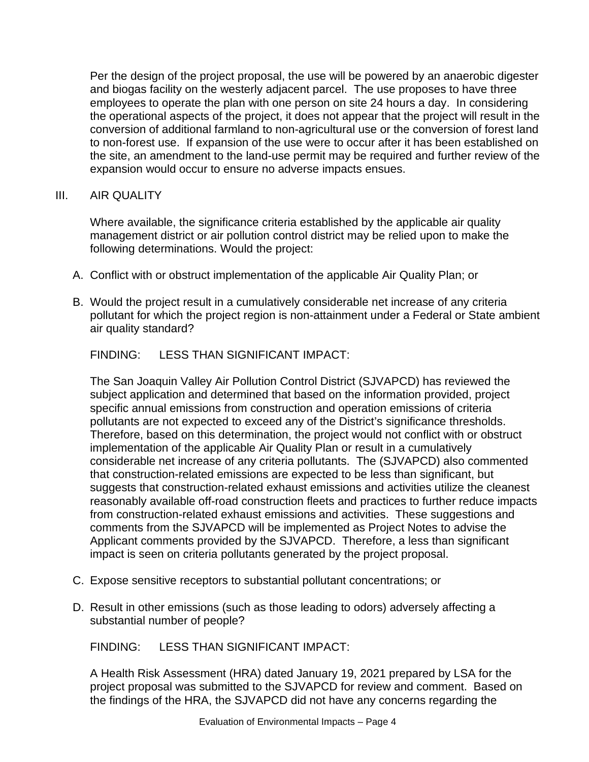Per the design of the project proposal, the use will be powered by an anaerobic digester and biogas facility on the westerly adjacent parcel. The use proposes to have three employees to operate the plan with one person on site 24 hours a day. In considering the operational aspects of the project, it does not appear that the project will result in the conversion of additional farmland to non-agricultural use or the conversion of forest land to non-forest use. If expansion of the use were to occur after it has been established on the site, an amendment to the land-use permit may be required and further review of the expansion would occur to ensure no adverse impacts ensues.

## III. AIR QUALITY

Where available, the significance criteria established by the applicable air quality management district or air pollution control district may be relied upon to make the following determinations. Would the project:

- A. Conflict with or obstruct implementation of the applicable Air Quality Plan; or
- B. Would the project result in a cumulatively considerable net increase of any criteria pollutant for which the project region is non-attainment under a Federal or State ambient air quality standard?

FINDING: LESS THAN SIGNIFICANT IMPACT:

The San Joaquin Valley Air Pollution Control District (SJVAPCD) has reviewed the subject application and determined that based on the information provided, project specific annual emissions from construction and operation emissions of criteria pollutants are not expected to exceed any of the District's significance thresholds. Therefore, based on this determination, the project would not conflict with or obstruct implementation of the applicable Air Quality Plan or result in a cumulatively considerable net increase of any criteria pollutants. The (SJVAPCD) also commented that construction-related emissions are expected to be less than significant, but suggests that construction-related exhaust emissions and activities utilize the cleanest reasonably available off-road construction fleets and practices to further reduce impacts from construction-related exhaust emissions and activities. These suggestions and comments from the SJVAPCD will be implemented as Project Notes to advise the Applicant comments provided by the SJVAPCD. Therefore, a less than significant impact is seen on criteria pollutants generated by the project proposal.

- C. Expose sensitive receptors to substantial pollutant concentrations; or
- D. Result in other emissions (such as those leading to odors) adversely affecting a substantial number of people?

FINDING: LESS THAN SIGNIFICANT IMPACT:

A Health Risk Assessment (HRA) dated January 19, 2021 prepared by LSA for the project proposal was submitted to the SJVAPCD for review and comment. Based on the findings of the HRA, the SJVAPCD did not have any concerns regarding the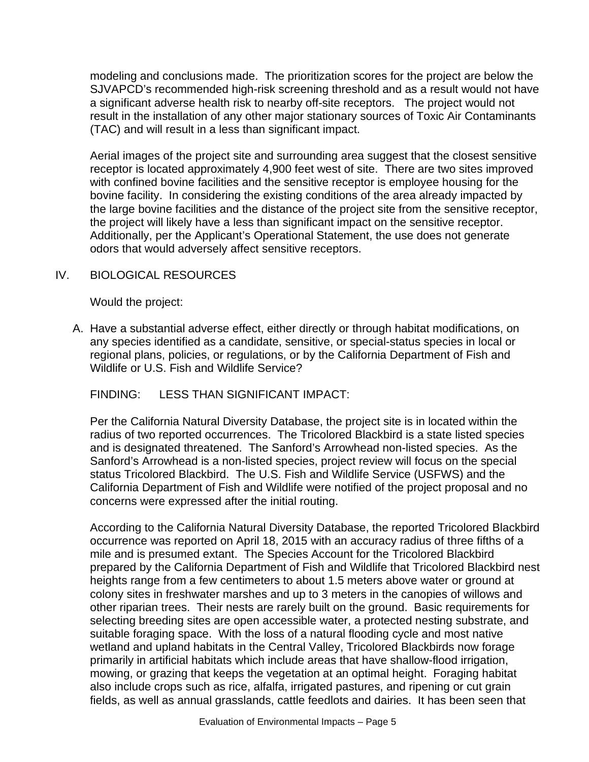modeling and conclusions made. The prioritization scores for the project are below the SJVAPCD's recommended high-risk screening threshold and as a result would not have a significant adverse health risk to nearby off-site receptors. The project would not result in the installation of any other major stationary sources of Toxic Air Contaminants (TAC) and will result in a less than significant impact.

Aerial images of the project site and surrounding area suggest that the closest sensitive receptor is located approximately 4,900 feet west of site. There are two sites improved with confined bovine facilities and the sensitive receptor is employee housing for the bovine facility. In considering the existing conditions of the area already impacted by the large bovine facilities and the distance of the project site from the sensitive receptor, the project will likely have a less than significant impact on the sensitive receptor. Additionally, per the Applicant's Operational Statement, the use does not generate odors that would adversely affect sensitive receptors.

## IV. BIOLOGICAL RESOURCES

Would the project:

A. Have a substantial adverse effect, either directly or through habitat modifications, on any species identified as a candidate, sensitive, or special-status species in local or regional plans, policies, or regulations, or by the California Department of Fish and Wildlife or U.S. Fish and Wildlife Service?

### FINDING: LESS THAN SIGNIFICANT IMPACT:

Per the California Natural Diversity Database, the project site is in located within the radius of two reported occurrences. The Tricolored Blackbird is a state listed species and is designated threatened. The Sanford's Arrowhead non-listed species. As the Sanford's Arrowhead is a non-listed species, project review will focus on the special status Tricolored Blackbird. The U.S. Fish and Wildlife Service (USFWS) and the California Department of Fish and Wildlife were notified of the project proposal and no concerns were expressed after the initial routing.

According to the California Natural Diversity Database, the reported Tricolored Blackbird occurrence was reported on April 18, 2015 with an accuracy radius of three fifths of a mile and is presumed extant. The Species Account for the Tricolored Blackbird prepared by the California Department of Fish and Wildlife that Tricolored Blackbird nest heights range from a few centimeters to about 1.5 meters above water or ground at colony sites in freshwater marshes and up to 3 meters in the canopies of willows and other riparian trees. Their nests are rarely built on the ground. Basic requirements for selecting breeding sites are open accessible water, a protected nesting substrate, and suitable foraging space. With the loss of a natural flooding cycle and most native wetland and upland habitats in the Central Valley, Tricolored Blackbirds now forage primarily in artificial habitats which include areas that have shallow-flood irrigation, mowing, or grazing that keeps the vegetation at an optimal height. Foraging habitat also include crops such as rice, alfalfa, irrigated pastures, and ripening or cut grain fields, as well as annual grasslands, cattle feedlots and dairies. It has been seen that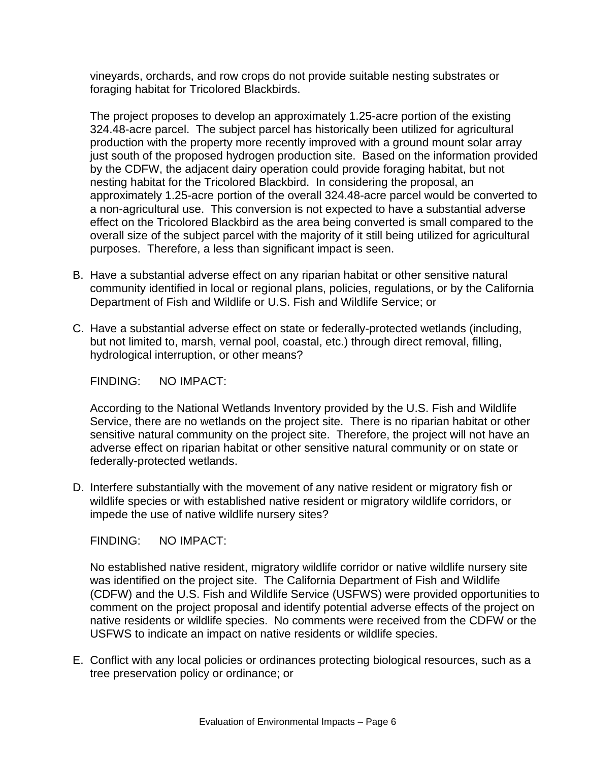vineyards, orchards, and row crops do not provide suitable nesting substrates or foraging habitat for Tricolored Blackbirds.

The project proposes to develop an approximately 1.25-acre portion of the existing 324.48-acre parcel. The subject parcel has historically been utilized for agricultural production with the property more recently improved with a ground mount solar array just south of the proposed hydrogen production site. Based on the information provided by the CDFW, the adjacent dairy operation could provide foraging habitat, but not nesting habitat for the Tricolored Blackbird. In considering the proposal, an approximately 1.25-acre portion of the overall 324.48-acre parcel would be converted to a non-agricultural use. This conversion is not expected to have a substantial adverse effect on the Tricolored Blackbird as the area being converted is small compared to the overall size of the subject parcel with the majority of it still being utilized for agricultural purposes. Therefore, a less than significant impact is seen.

- B. Have a substantial adverse effect on any riparian habitat or other sensitive natural community identified in local or regional plans, policies, regulations, or by the California Department of Fish and Wildlife or U.S. Fish and Wildlife Service; or
- C. Have a substantial adverse effect on state or federally-protected wetlands (including, but not limited to, marsh, vernal pool, coastal, etc.) through direct removal, filling, hydrological interruption, or other means?

FINDING: NO IMPACT:

According to the National Wetlands Inventory provided by the U.S. Fish and Wildlife Service, there are no wetlands on the project site. There is no riparian habitat or other sensitive natural community on the project site. Therefore, the project will not have an adverse effect on riparian habitat or other sensitive natural community or on state or federally-protected wetlands.

D. Interfere substantially with the movement of any native resident or migratory fish or wildlife species or with established native resident or migratory wildlife corridors, or impede the use of native wildlife nursery sites?

FINDING: NO IMPACT:

No established native resident, migratory wildlife corridor or native wildlife nursery site was identified on the project site. The California Department of Fish and Wildlife (CDFW) and the U.S. Fish and Wildlife Service (USFWS) were provided opportunities to comment on the project proposal and identify potential adverse effects of the project on native residents or wildlife species. No comments were received from the CDFW or the USFWS to indicate an impact on native residents or wildlife species.

E. Conflict with any local policies or ordinances protecting biological resources, such as a tree preservation policy or ordinance; or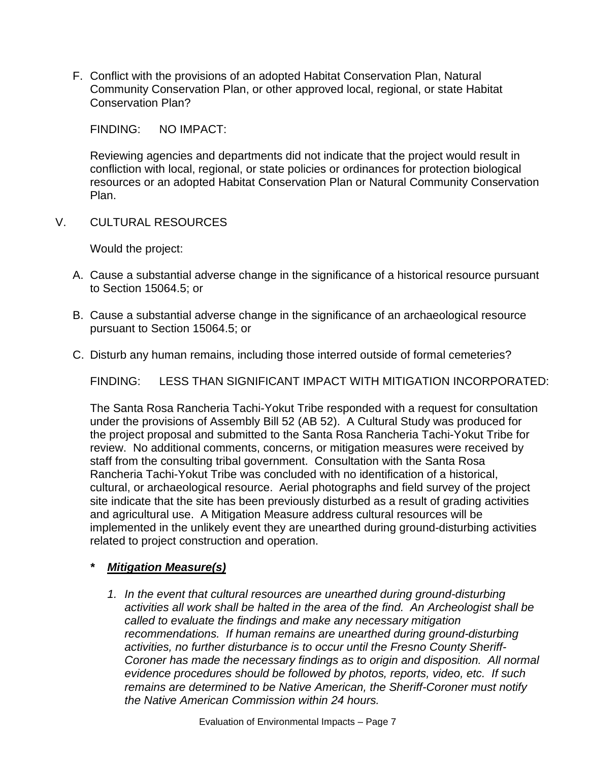F. Conflict with the provisions of an adopted Habitat Conservation Plan, Natural Community Conservation Plan, or other approved local, regional, or state Habitat Conservation Plan?

FINDING: NO IMPACT:

Reviewing agencies and departments did not indicate that the project would result in confliction with local, regional, or state policies or ordinances for protection biological resources or an adopted Habitat Conservation Plan or Natural Community Conservation Plan.

V. CULTURAL RESOURCES

Would the project:

- A. Cause a substantial adverse change in the significance of a historical resource pursuant to Section 15064.5; or
- B. Cause a substantial adverse change in the significance of an archaeological resource pursuant to Section 15064.5; or
- C. Disturb any human remains, including those interred outside of formal cemeteries?

FINDING: LESS THAN SIGNIFICANT IMPACT WITH MITIGATION INCORPORATED:

The Santa Rosa Rancheria Tachi-Yokut Tribe responded with a request for consultation under the provisions of Assembly Bill 52 (AB 52). A Cultural Study was produced for the project proposal and submitted to the Santa Rosa Rancheria Tachi-Yokut Tribe for review. No additional comments, concerns, or mitigation measures were received by staff from the consulting tribal government. Consultation with the Santa Rosa Rancheria Tachi-Yokut Tribe was concluded with no identification of a historical, cultural, or archaeological resource. Aerial photographs and field survey of the project site indicate that the site has been previously disturbed as a result of grading activities and agricultural use. A Mitigation Measure address cultural resources will be implemented in the unlikely event they are unearthed during ground-disturbing activities related to project construction and operation.

## *\* Mitigation Measure(s)*

*1. In the event that cultural resources are unearthed during ground-disturbing activities all work shall be halted in the area of the find. An Archeologist shall be called to evaluate the findings and make any necessary mitigation recommendations. If human remains are unearthed during ground-disturbing activities, no further disturbance is to occur until the Fresno County Sheriff-Coroner has made the necessary findings as to origin and disposition. All normal evidence procedures should be followed by photos, reports, video, etc. If such remains are determined to be Native American, the Sheriff-Coroner must notify the Native American Commission within 24 hours.*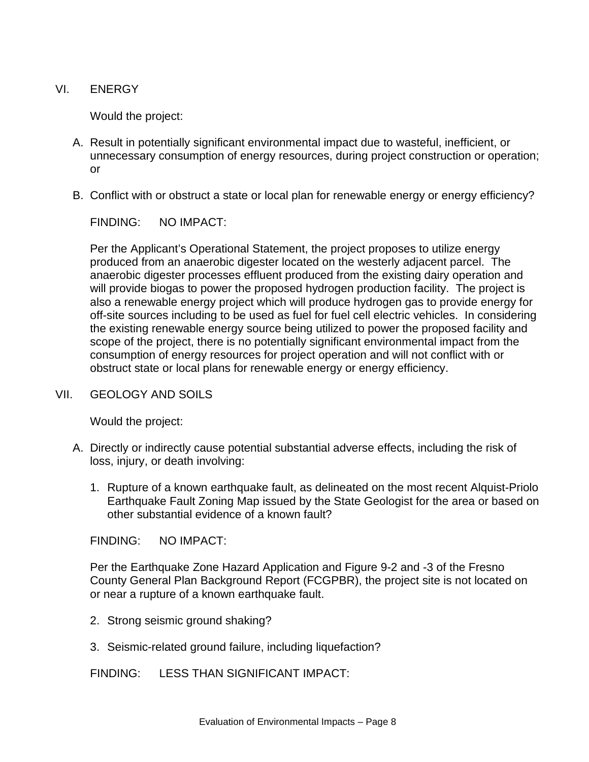VI. ENERGY

Would the project:

- A. Result in potentially significant environmental impact due to wasteful, inefficient, or unnecessary consumption of energy resources, during project construction or operation; or
- B. Conflict with or obstruct a state or local plan for renewable energy or energy efficiency?

FINDING: NO IMPACT:

Per the Applicant's Operational Statement, the project proposes to utilize energy produced from an anaerobic digester located on the westerly adjacent parcel. The anaerobic digester processes effluent produced from the existing dairy operation and will provide biogas to power the proposed hydrogen production facility. The project is also a renewable energy project which will produce hydrogen gas to provide energy for off-site sources including to be used as fuel for fuel cell electric vehicles. In considering the existing renewable energy source being utilized to power the proposed facility and scope of the project, there is no potentially significant environmental impact from the consumption of energy resources for project operation and will not conflict with or obstruct state or local plans for renewable energy or energy efficiency.

#### VII. GEOLOGY AND SOILS

Would the project:

- A. Directly or indirectly cause potential substantial adverse effects, including the risk of loss, injury, or death involving:
	- 1. Rupture of a known earthquake fault, as delineated on the most recent Alquist-Priolo Earthquake Fault Zoning Map issued by the State Geologist for the area or based on other substantial evidence of a known fault?

FINDING: NO IMPACT:

Per the Earthquake Zone Hazard Application and Figure 9-2 and -3 of the Fresno County General Plan Background Report (FCGPBR), the project site is not located on or near a rupture of a known earthquake fault.

- 2. Strong seismic ground shaking?
- 3. Seismic-related ground failure, including liquefaction?

FINDING: LESS THAN SIGNIFICANT IMPACT: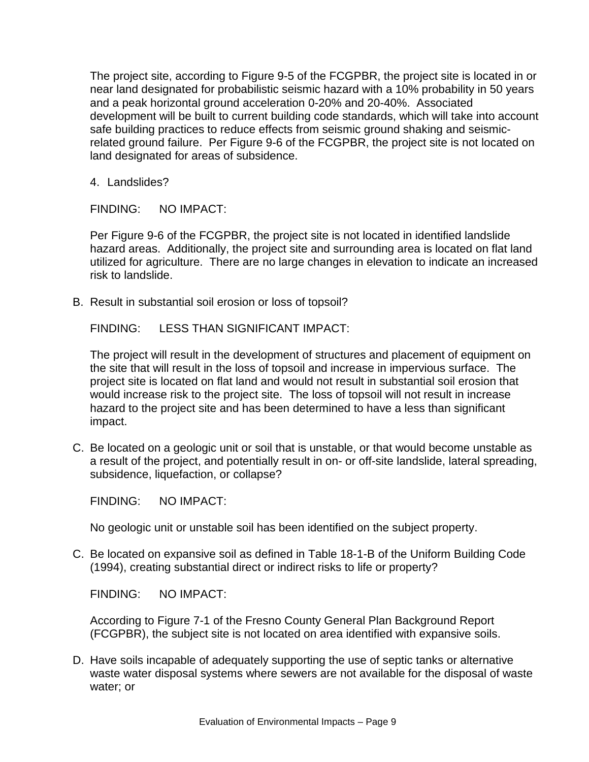The project site, according to Figure 9-5 of the FCGPBR, the project site is located in or near land designated for probabilistic seismic hazard with a 10% probability in 50 years and a peak horizontal ground acceleration 0-20% and 20-40%. Associated development will be built to current building code standards, which will take into account safe building practices to reduce effects from seismic ground shaking and seismicrelated ground failure. Per Figure 9-6 of the FCGPBR, the project site is not located on land designated for areas of subsidence.

4. Landslides?

FINDING: NO IMPACT:

Per Figure 9-6 of the FCGPBR, the project site is not located in identified landslide hazard areas. Additionally, the project site and surrounding area is located on flat land utilized for agriculture. There are no large changes in elevation to indicate an increased risk to landslide.

B. Result in substantial soil erosion or loss of topsoil?

FINDING: LESS THAN SIGNIFICANT IMPACT:

The project will result in the development of structures and placement of equipment on the site that will result in the loss of topsoil and increase in impervious surface. The project site is located on flat land and would not result in substantial soil erosion that would increase risk to the project site. The loss of topsoil will not result in increase hazard to the project site and has been determined to have a less than significant impact.

C. Be located on a geologic unit or soil that is unstable, or that would become unstable as a result of the project, and potentially result in on- or off-site landslide, lateral spreading, subsidence, liquefaction, or collapse?

FINDING: NO IMPACT:

No geologic unit or unstable soil has been identified on the subject property.

C. Be located on expansive soil as defined in Table 18-1-B of the Uniform Building Code (1994), creating substantial direct or indirect risks to life or property?

FINDING: NO IMPACT:

According to Figure 7-1 of the Fresno County General Plan Background Report (FCGPBR), the subject site is not located on area identified with expansive soils.

D. Have soils incapable of adequately supporting the use of septic tanks or alternative waste water disposal systems where sewers are not available for the disposal of waste water; or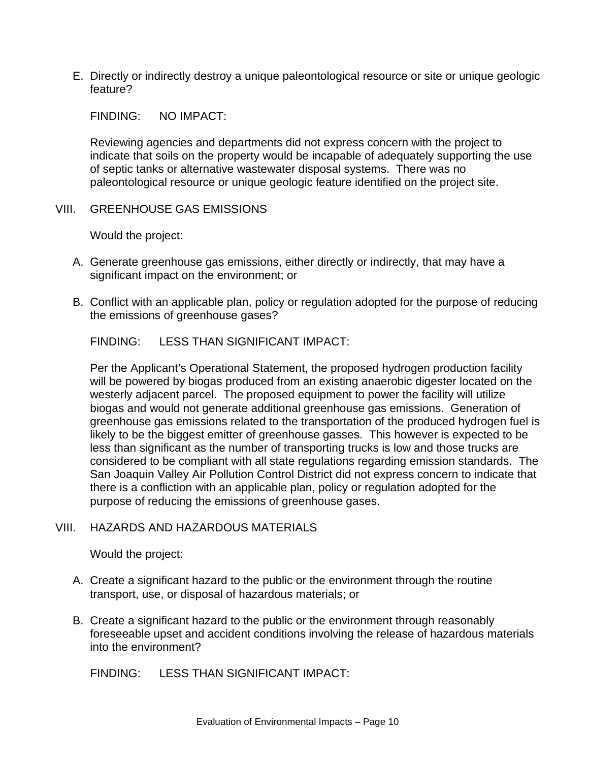E. Directly or indirectly destroy a unique paleontological resource or site or unique geologic feature?

FINDING: NO IMPACT:

Reviewing agencies and departments did not express concern with the project to indicate that soils on the property would be incapable of adequately supporting the use of septic tanks or alternative wastewater disposal systems. There was no paleontological resource or unique geologic feature identified on the project site.

### VIII. GREENHOUSE GAS EMISSIONS

Would the project:

- A. Generate greenhouse gas emissions, either directly or indirectly, that may have a significant impact on the environment; or
- B. Conflict with an applicable plan, policy or regulation adopted for the purpose of reducing the emissions of greenhouse gases?

FINDING: LESS THAN SIGNIFICANT IMPACT:

Per the Applicant's Operational Statement, the proposed hydrogen production facility will be powered by biogas produced from an existing anaerobic digester located on the westerly adjacent parcel. The proposed equipment to power the facility will utilize biogas and would not generate additional greenhouse gas emissions. Generation of greenhouse gas emissions related to the transportation of the produced hydrogen fuel is likely to be the biggest emitter of greenhouse gasses. This however is expected to be less than significant as the number of transporting trucks is low and those trucks are considered to be compliant with all state regulations regarding emission standards. The San Joaquin Valley Air Pollution Control District did not express concern to indicate that there is a confliction with an applicable plan, policy or regulation adopted for the purpose of reducing the emissions of greenhouse gases.

### VIII. HAZARDS AND HAZARDOUS MATERIALS

Would the project:

- A. Create a significant hazard to the public or the environment through the routine transport, use, or disposal of hazardous materials; or
- B. Create a significant hazard to the public or the environment through reasonably foreseeable upset and accident conditions involving the release of hazardous materials into the environment?

FINDING: LESS THAN SIGNIFICANT IMPACT: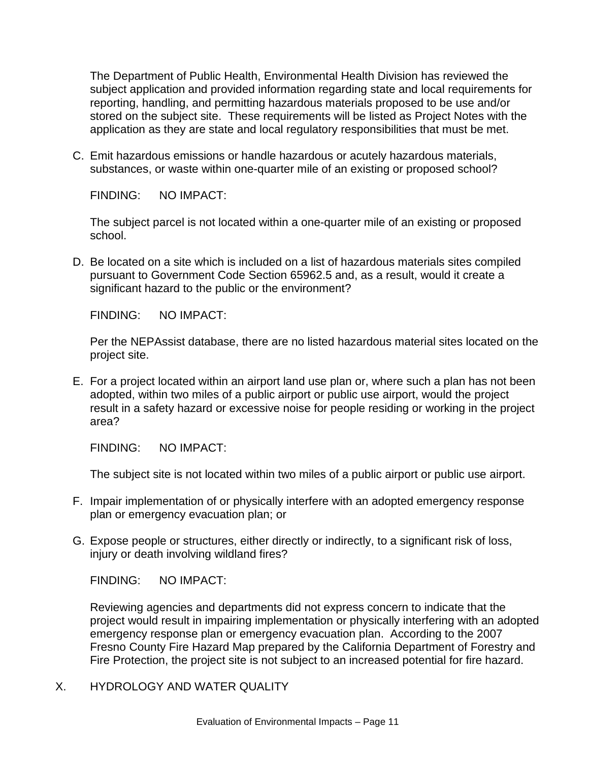The Department of Public Health, Environmental Health Division has reviewed the subject application and provided information regarding state and local requirements for reporting, handling, and permitting hazardous materials proposed to be use and/or stored on the subject site. These requirements will be listed as Project Notes with the application as they are state and local regulatory responsibilities that must be met.

C. Emit hazardous emissions or handle hazardous or acutely hazardous materials, substances, or waste within one-quarter mile of an existing or proposed school?

FINDING: NO IMPACT:

The subject parcel is not located within a one-quarter mile of an existing or proposed school.

D. Be located on a site which is included on a list of hazardous materials sites compiled pursuant to Government Code Section 65962.5 and, as a result, would it create a significant hazard to the public or the environment?

FINDING: NO IMPACT:

Per the NEPAssist database, there are no listed hazardous material sites located on the project site.

E. For a project located within an airport land use plan or, where such a plan has not been adopted, within two miles of a public airport or public use airport, would the project result in a safety hazard or excessive noise for people residing or working in the project area?

FINDING: NO IMPACT:

The subject site is not located within two miles of a public airport or public use airport.

- F. Impair implementation of or physically interfere with an adopted emergency response plan or emergency evacuation plan; or
- G. Expose people or structures, either directly or indirectly, to a significant risk of loss, injury or death involving wildland fires?

FINDING: NO IMPACT:

Reviewing agencies and departments did not express concern to indicate that the project would result in impairing implementation or physically interfering with an adopted emergency response plan or emergency evacuation plan. According to the 2007 Fresno County Fire Hazard Map prepared by the California Department of Forestry and Fire Protection, the project site is not subject to an increased potential for fire hazard.

X. HYDROLOGY AND WATER QUALITY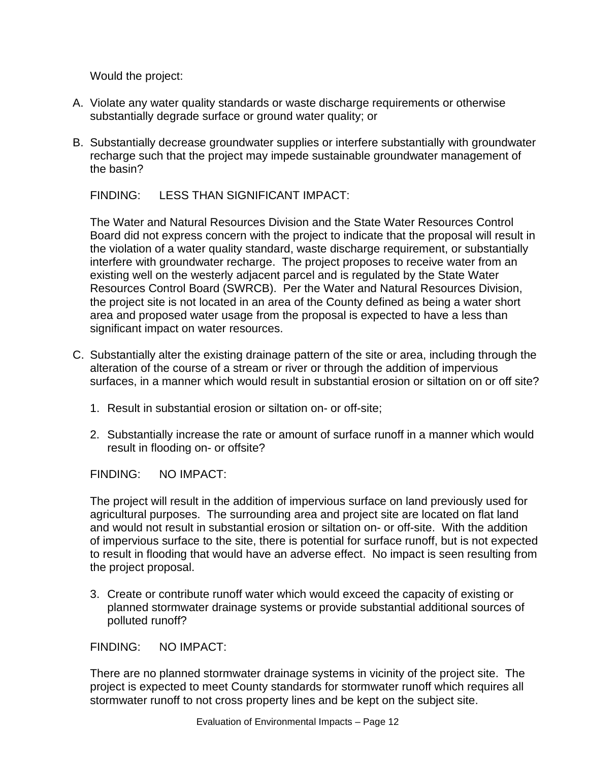Would the project:

- A. Violate any water quality standards or waste discharge requirements or otherwise substantially degrade surface or ground water quality; or
- B. Substantially decrease groundwater supplies or interfere substantially with groundwater recharge such that the project may impede sustainable groundwater management of the basin?

FINDING: LESS THAN SIGNIFICANT IMPACT:

The Water and Natural Resources Division and the State Water Resources Control Board did not express concern with the project to indicate that the proposal will result in the violation of a water quality standard, waste discharge requirement, or substantially interfere with groundwater recharge. The project proposes to receive water from an existing well on the westerly adjacent parcel and is regulated by the State Water Resources Control Board (SWRCB). Per the Water and Natural Resources Division, the project site is not located in an area of the County defined as being a water short area and proposed water usage from the proposal is expected to have a less than significant impact on water resources.

- C. Substantially alter the existing drainage pattern of the site or area, including through the alteration of the course of a stream or river or through the addition of impervious surfaces, in a manner which would result in substantial erosion or siltation on or off site?
	- 1. Result in substantial erosion or siltation on- or off-site;
	- 2. Substantially increase the rate or amount of surface runoff in a manner which would result in flooding on- or offsite?

FINDING: NO IMPACT:

The project will result in the addition of impervious surface on land previously used for agricultural purposes. The surrounding area and project site are located on flat land and would not result in substantial erosion or siltation on- or off-site. With the addition of impervious surface to the site, there is potential for surface runoff, but is not expected to result in flooding that would have an adverse effect. No impact is seen resulting from the project proposal.

3. Create or contribute runoff water which would exceed the capacity of existing or planned stormwater drainage systems or provide substantial additional sources of polluted runoff?

FINDING: NO IMPACT:

There are no planned stormwater drainage systems in vicinity of the project site. The project is expected to meet County standards for stormwater runoff which requires all stormwater runoff to not cross property lines and be kept on the subject site.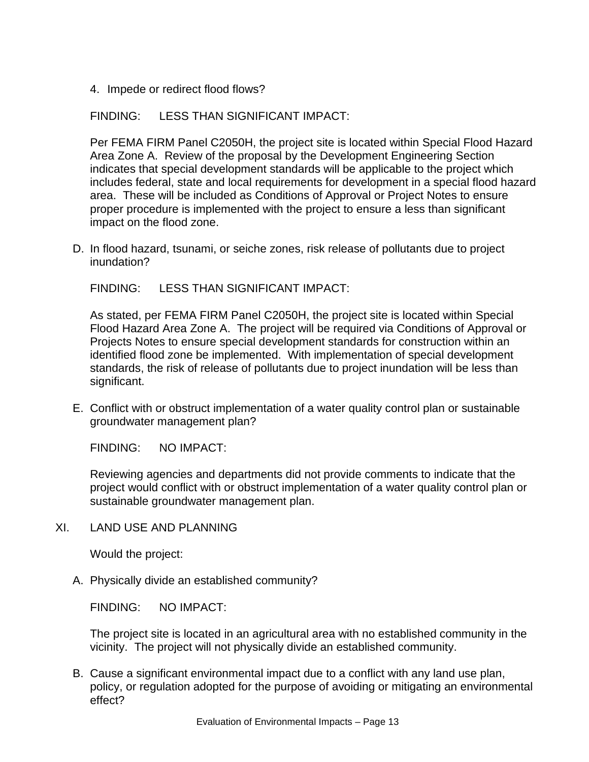4. Impede or redirect flood flows?

FINDING: LESS THAN SIGNIFICANT IMPACT:

Per FEMA FIRM Panel C2050H, the project site is located within Special Flood Hazard Area Zone A. Review of the proposal by the Development Engineering Section indicates that special development standards will be applicable to the project which includes federal, state and local requirements for development in a special flood hazard area. These will be included as Conditions of Approval or Project Notes to ensure proper procedure is implemented with the project to ensure a less than significant impact on the flood zone.

D. In flood hazard, tsunami, or seiche zones, risk release of pollutants due to project inundation?

FINDING: LESS THAN SIGNIFICANT IMPACT:

As stated, per FEMA FIRM Panel C2050H, the project site is located within Special Flood Hazard Area Zone A. The project will be required via Conditions of Approval or Projects Notes to ensure special development standards for construction within an identified flood zone be implemented. With implementation of special development standards, the risk of release of pollutants due to project inundation will be less than significant.

E. Conflict with or obstruct implementation of a water quality control plan or sustainable groundwater management plan?

FINDING: NO IMPACT:

Reviewing agencies and departments did not provide comments to indicate that the project would conflict with or obstruct implementation of a water quality control plan or sustainable groundwater management plan.

XI. LAND USE AND PLANNING

Would the project:

A. Physically divide an established community?

FINDING: NO IMPACT:

The project site is located in an agricultural area with no established community in the vicinity. The project will not physically divide an established community.

B. Cause a significant environmental impact due to a conflict with any land use plan, policy, or regulation adopted for the purpose of avoiding or mitigating an environmental effect?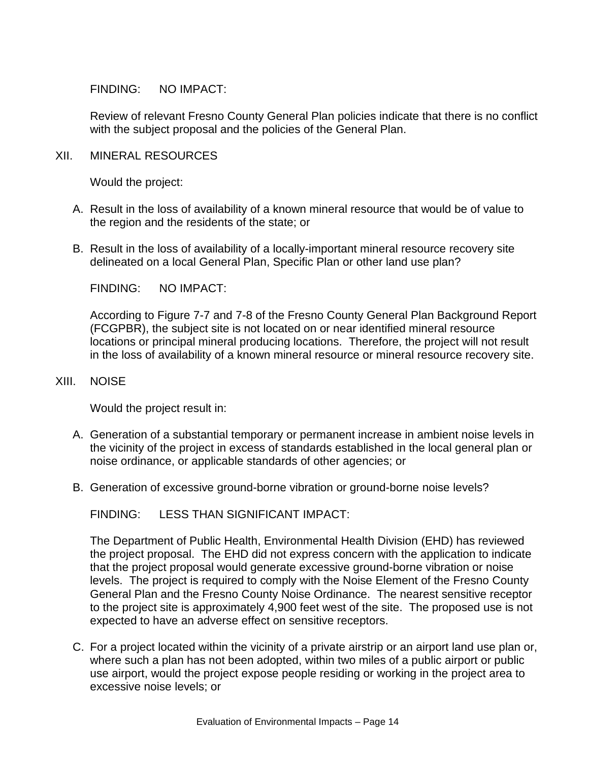FINDING: NO IMPACT:

Review of relevant Fresno County General Plan policies indicate that there is no conflict with the subject proposal and the policies of the General Plan.

#### XII. MINERAL RESOURCES

Would the project:

- A. Result in the loss of availability of a known mineral resource that would be of value to the region and the residents of the state; or
- B. Result in the loss of availability of a locally-important mineral resource recovery site delineated on a local General Plan, Specific Plan or other land use plan?

FINDING: NO IMPACT:

According to Figure 7-7 and 7-8 of the Fresno County General Plan Background Report (FCGPBR), the subject site is not located on or near identified mineral resource locations or principal mineral producing locations. Therefore, the project will not result in the loss of availability of a known mineral resource or mineral resource recovery site.

#### XIII. NOISE

Would the project result in:

- A. Generation of a substantial temporary or permanent increase in ambient noise levels in the vicinity of the project in excess of standards established in the local general plan or noise ordinance, or applicable standards of other agencies; or
- B. Generation of excessive ground-borne vibration or ground-borne noise levels?

FINDING: LESS THAN SIGNIFICANT IMPACT:

The Department of Public Health, Environmental Health Division (EHD) has reviewed the project proposal. The EHD did not express concern with the application to indicate that the project proposal would generate excessive ground-borne vibration or noise levels. The project is required to comply with the Noise Element of the Fresno County General Plan and the Fresno County Noise Ordinance. The nearest sensitive receptor to the project site is approximately 4,900 feet west of the site. The proposed use is not expected to have an adverse effect on sensitive receptors.

C. For a project located within the vicinity of a private airstrip or an airport land use plan or, where such a plan has not been adopted, within two miles of a public airport or public use airport, would the project expose people residing or working in the project area to excessive noise levels; or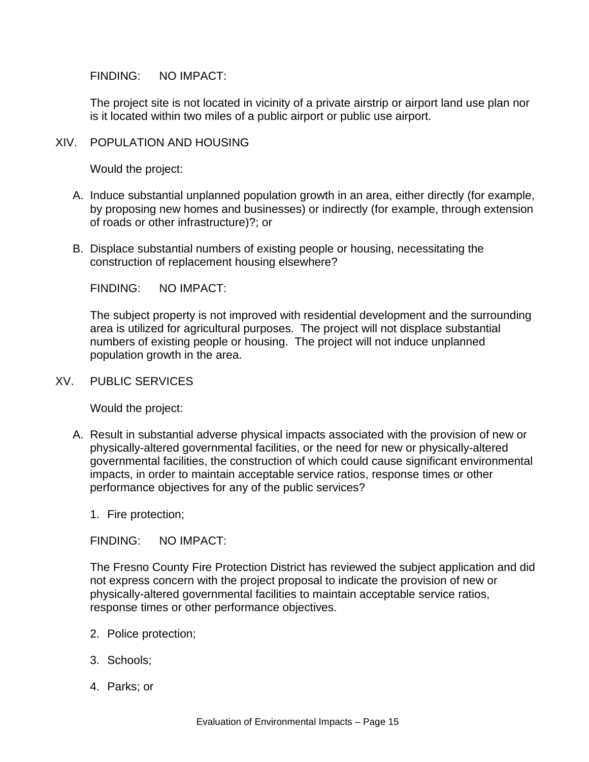FINDING: NO IMPACT:

The project site is not located in vicinity of a private airstrip or airport land use plan nor is it located within two miles of a public airport or public use airport.

### XIV. POPULATION AND HOUSING

Would the project:

- A. Induce substantial unplanned population growth in an area, either directly (for example, by proposing new homes and businesses) or indirectly (for example, through extension of roads or other infrastructure)?; or
- B. Displace substantial numbers of existing people or housing, necessitating the construction of replacement housing elsewhere?

FINDING: NO IMPACT:

The subject property is not improved with residential development and the surrounding area is utilized for agricultural purposes. The project will not displace substantial numbers of existing people or housing. The project will not induce unplanned population growth in the area.

### XV. PUBLIC SERVICES

Would the project:

A. Result in substantial adverse physical impacts associated with the provision of new or physically-altered governmental facilities, or the need for new or physically-altered governmental facilities, the construction of which could cause significant environmental impacts, in order to maintain acceptable service ratios, response times or other performance objectives for any of the public services?

1. Fire protection;

FINDING: NO IMPACT:

The Fresno County Fire Protection District has reviewed the subject application and did not express concern with the project proposal to indicate the provision of new or physically-altered governmental facilities to maintain acceptable service ratios, response times or other performance objectives.

- 2. Police protection;
- 3. Schools;
- 4. Parks; or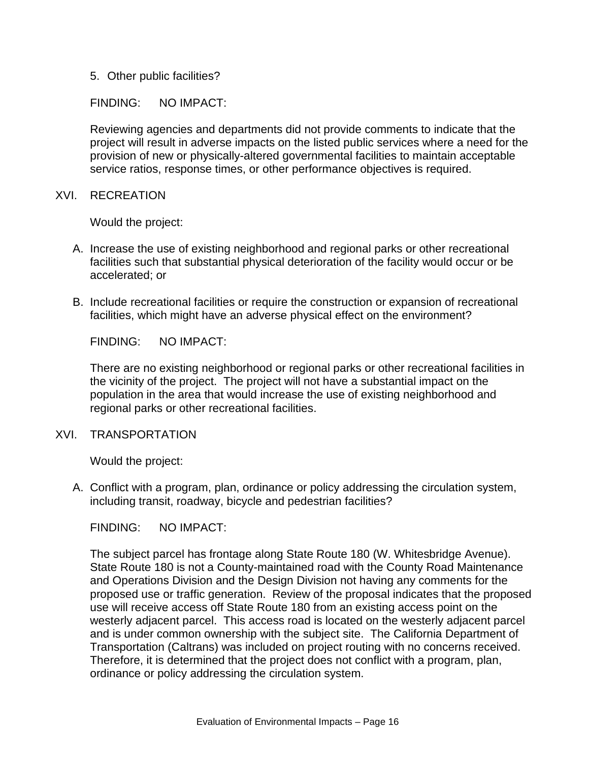5. Other public facilities?

### FINDING: NO IMPACT:

Reviewing agencies and departments did not provide comments to indicate that the project will result in adverse impacts on the listed public services where a need for the provision of new or physically-altered governmental facilities to maintain acceptable service ratios, response times, or other performance objectives is required.

XVI. RECREATION

Would the project:

- A. Increase the use of existing neighborhood and regional parks or other recreational facilities such that substantial physical deterioration of the facility would occur or be accelerated; or
- B. Include recreational facilities or require the construction or expansion of recreational facilities, which might have an adverse physical effect on the environment?

FINDING: NO IMPACT:

There are no existing neighborhood or regional parks or other recreational facilities in the vicinity of the project. The project will not have a substantial impact on the population in the area that would increase the use of existing neighborhood and regional parks or other recreational facilities.

### XVI. TRANSPORTATION

Would the project:

A. Conflict with a program, plan, ordinance or policy addressing the circulation system, including transit, roadway, bicycle and pedestrian facilities?

FINDING: NO IMPACT:

The subject parcel has frontage along State Route 180 (W. Whitesbridge Avenue). State Route 180 is not a County-maintained road with the County Road Maintenance and Operations Division and the Design Division not having any comments for the proposed use or traffic generation. Review of the proposal indicates that the proposed use will receive access off State Route 180 from an existing access point on the westerly adjacent parcel. This access road is located on the westerly adjacent parcel and is under common ownership with the subject site. The California Department of Transportation (Caltrans) was included on project routing with no concerns received. Therefore, it is determined that the project does not conflict with a program, plan, ordinance or policy addressing the circulation system.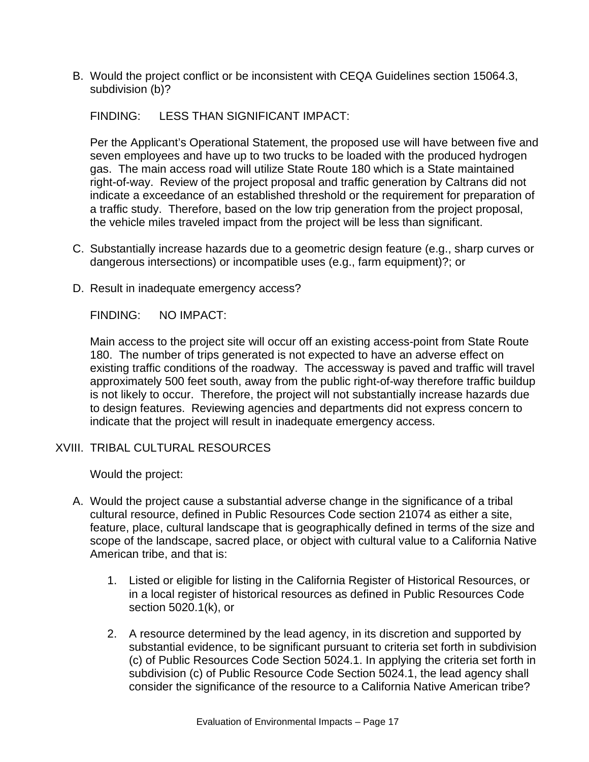B. Would the project conflict or be inconsistent with CEQA Guidelines section 15064.3, subdivision (b)?

FINDING: LESS THAN SIGNIFICANT IMPACT:

Per the Applicant's Operational Statement, the proposed use will have between five and seven employees and have up to two trucks to be loaded with the produced hydrogen gas. The main access road will utilize State Route 180 which is a State maintained right-of-way. Review of the project proposal and traffic generation by Caltrans did not indicate a exceedance of an established threshold or the requirement for preparation of a traffic study. Therefore, based on the low trip generation from the project proposal, the vehicle miles traveled impact from the project will be less than significant.

- C. Substantially increase hazards due to a geometric design feature (e.g., sharp curves or dangerous intersections) or incompatible uses (e.g., farm equipment)?; or
- D. Result in inadequate emergency access?

FINDING: NO IMPACT:

Main access to the project site will occur off an existing access-point from State Route 180. The number of trips generated is not expected to have an adverse effect on existing traffic conditions of the roadway. The accessway is paved and traffic will travel approximately 500 feet south, away from the public right-of-way therefore traffic buildup is not likely to occur. Therefore, the project will not substantially increase hazards due to design features. Reviewing agencies and departments did not express concern to indicate that the project will result in inadequate emergency access.

XVIII. TRIBAL CULTURAL RESOURCES

Would the project:

- A. Would the project cause a substantial adverse change in the significance of a tribal cultural resource, defined in Public Resources Code section 21074 as either a site, feature, place, cultural landscape that is geographically defined in terms of the size and scope of the landscape, sacred place, or object with cultural value to a California Native American tribe, and that is:
	- 1. Listed or eligible for listing in the California Register of Historical Resources, or in a local register of historical resources as defined in Public Resources Code section 5020.1(k), or
	- 2. A resource determined by the lead agency, in its discretion and supported by substantial evidence, to be significant pursuant to criteria set forth in subdivision (c) of Public Resources Code Section 5024.1. In applying the criteria set forth in subdivision (c) of Public Resource Code Section 5024.1, the lead agency shall consider the significance of the resource to a California Native American tribe?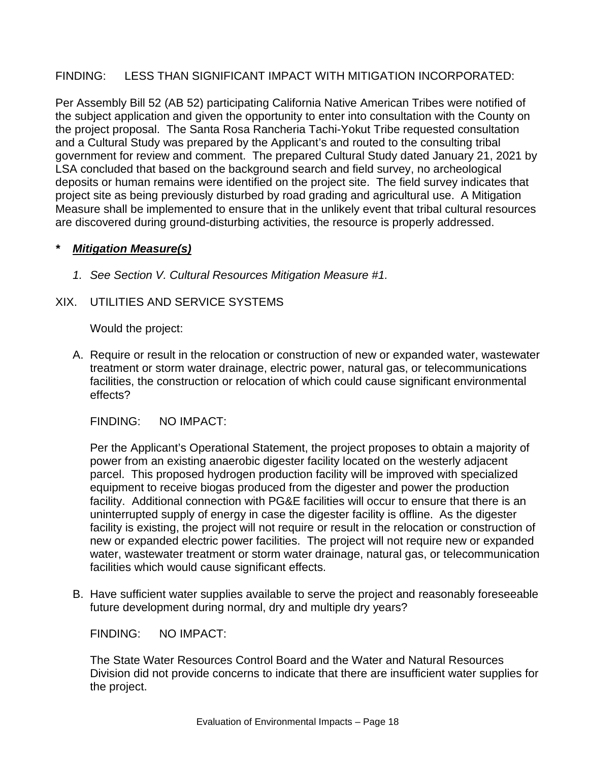### FINDING: LESS THAN SIGNIFICANT IMPACT WITH MITIGATION INCORPORATED:

Per Assembly Bill 52 (AB 52) participating California Native American Tribes were notified of the subject application and given the opportunity to enter into consultation with the County on the project proposal. The Santa Rosa Rancheria Tachi-Yokut Tribe requested consultation and a Cultural Study was prepared by the Applicant's and routed to the consulting tribal government for review and comment. The prepared Cultural Study dated January 21, 2021 by LSA concluded that based on the background search and field survey, no archeological deposits or human remains were identified on the project site. The field survey indicates that project site as being previously disturbed by road grading and agricultural use. A Mitigation Measure shall be implemented to ensure that in the unlikely event that tribal cultural resources are discovered during ground-disturbing activities, the resource is properly addressed.

## *\* Mitigation Measure(s)*

*1. See Section V. Cultural Resources Mitigation Measure #1.*

## XIX. UTILITIES AND SERVICE SYSTEMS

Would the project:

A. Require or result in the relocation or construction of new or expanded water, wastewater treatment or storm water drainage, electric power, natural gas, or telecommunications facilities, the construction or relocation of which could cause significant environmental effects?

FINDING: NO IMPACT:

Per the Applicant's Operational Statement, the project proposes to obtain a majority of power from an existing anaerobic digester facility located on the westerly adjacent parcel. This proposed hydrogen production facility will be improved with specialized equipment to receive biogas produced from the digester and power the production facility. Additional connection with PG&E facilities will occur to ensure that there is an uninterrupted supply of energy in case the digester facility is offline. As the digester facility is existing, the project will not require or result in the relocation or construction of new or expanded electric power facilities. The project will not require new or expanded water, wastewater treatment or storm water drainage, natural gas, or telecommunication facilities which would cause significant effects.

B. Have sufficient water supplies available to serve the project and reasonably foreseeable future development during normal, dry and multiple dry years?

FINDING: NO IMPACT:

The State Water Resources Control Board and the Water and Natural Resources Division did not provide concerns to indicate that there are insufficient water supplies for the project.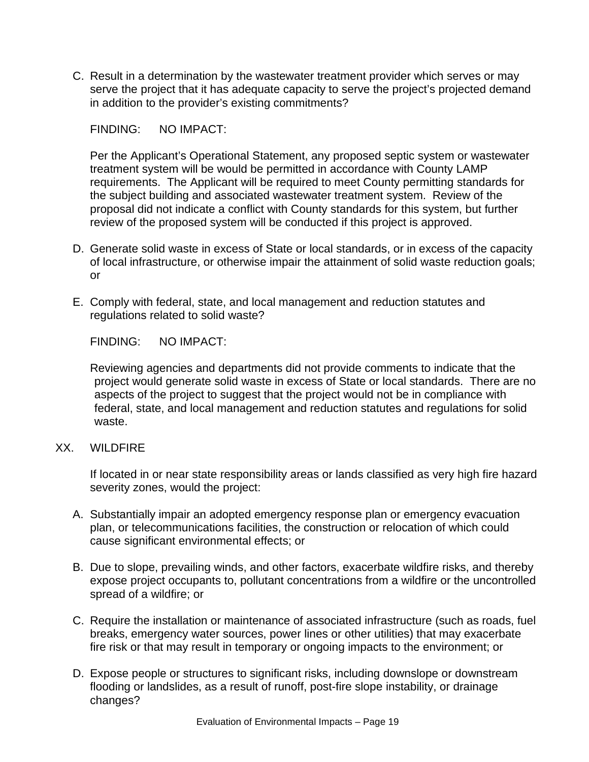C. Result in a determination by the wastewater treatment provider which serves or may serve the project that it has adequate capacity to serve the project's projected demand in addition to the provider's existing commitments?

FINDING: NO IMPACT:

Per the Applicant's Operational Statement, any proposed septic system or wastewater treatment system will be would be permitted in accordance with County LAMP requirements. The Applicant will be required to meet County permitting standards for the subject building and associated wastewater treatment system. Review of the proposal did not indicate a conflict with County standards for this system, but further review of the proposed system will be conducted if this project is approved.

- D. Generate solid waste in excess of State or local standards, or in excess of the capacity of local infrastructure, or otherwise impair the attainment of solid waste reduction goals; or
- E. Comply with federal, state, and local management and reduction statutes and regulations related to solid waste?

FINDING: NO IMPACT:

Reviewing agencies and departments did not provide comments to indicate that the project would generate solid waste in excess of State or local standards. There are no aspects of the project to suggest that the project would not be in compliance with federal, state, and local management and reduction statutes and regulations for solid waste.

### XX. WILDFIRE

If located in or near state responsibility areas or lands classified as very high fire hazard severity zones, would the project:

- A. Substantially impair an adopted emergency response plan or emergency evacuation plan, or telecommunications facilities, the construction or relocation of which could cause significant environmental effects; or
- B. Due to slope, prevailing winds, and other factors, exacerbate wildfire risks, and thereby expose project occupants to, pollutant concentrations from a wildfire or the uncontrolled spread of a wildfire; or
- C. Require the installation or maintenance of associated infrastructure (such as roads, fuel breaks, emergency water sources, power lines or other utilities) that may exacerbate fire risk or that may result in temporary or ongoing impacts to the environment; or
- D. Expose people or structures to significant risks, including downslope or downstream flooding or landslides, as a result of runoff, post-fire slope instability, or drainage changes?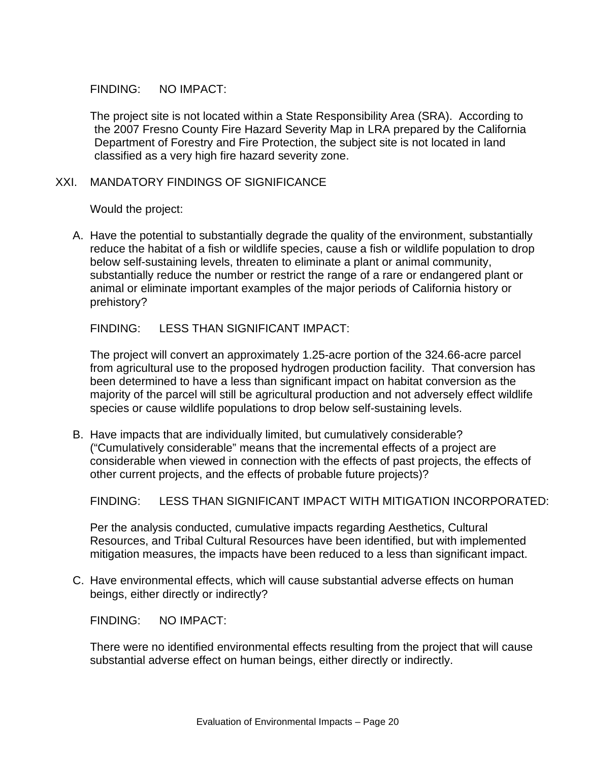### FINDING: NO IMPACT:

The project site is not located within a State Responsibility Area (SRA). According to the 2007 Fresno County Fire Hazard Severity Map in LRA prepared by the California Department of Forestry and Fire Protection, the subject site is not located in land classified as a very high fire hazard severity zone.

### XXI. MANDATORY FINDINGS OF SIGNIFICANCE

Would the project:

A. Have the potential to substantially degrade the quality of the environment, substantially reduce the habitat of a fish or wildlife species, cause a fish or wildlife population to drop below self-sustaining levels, threaten to eliminate a plant or animal community, substantially reduce the number or restrict the range of a rare or endangered plant or animal or eliminate important examples of the major periods of California history or prehistory?

FINDING: LESS THAN SIGNIFICANT IMPACT:

The project will convert an approximately 1.25-acre portion of the 324.66-acre parcel from agricultural use to the proposed hydrogen production facility. That conversion has been determined to have a less than significant impact on habitat conversion as the majority of the parcel will still be agricultural production and not adversely effect wildlife species or cause wildlife populations to drop below self-sustaining levels.

B. Have impacts that are individually limited, but cumulatively considerable? ("Cumulatively considerable" means that the incremental effects of a project are considerable when viewed in connection with the effects of past projects, the effects of other current projects, and the effects of probable future projects)?

FINDING: LESS THAN SIGNIFICANT IMPACT WITH MITIGATION INCORPORATED:

Per the analysis conducted, cumulative impacts regarding Aesthetics, Cultural Resources, and Tribal Cultural Resources have been identified, but with implemented mitigation measures, the impacts have been reduced to a less than significant impact.

C. Have environmental effects, which will cause substantial adverse effects on human beings, either directly or indirectly?

FINDING: NO IMPACT:

There were no identified environmental effects resulting from the project that will cause substantial adverse effect on human beings, either directly or indirectly.